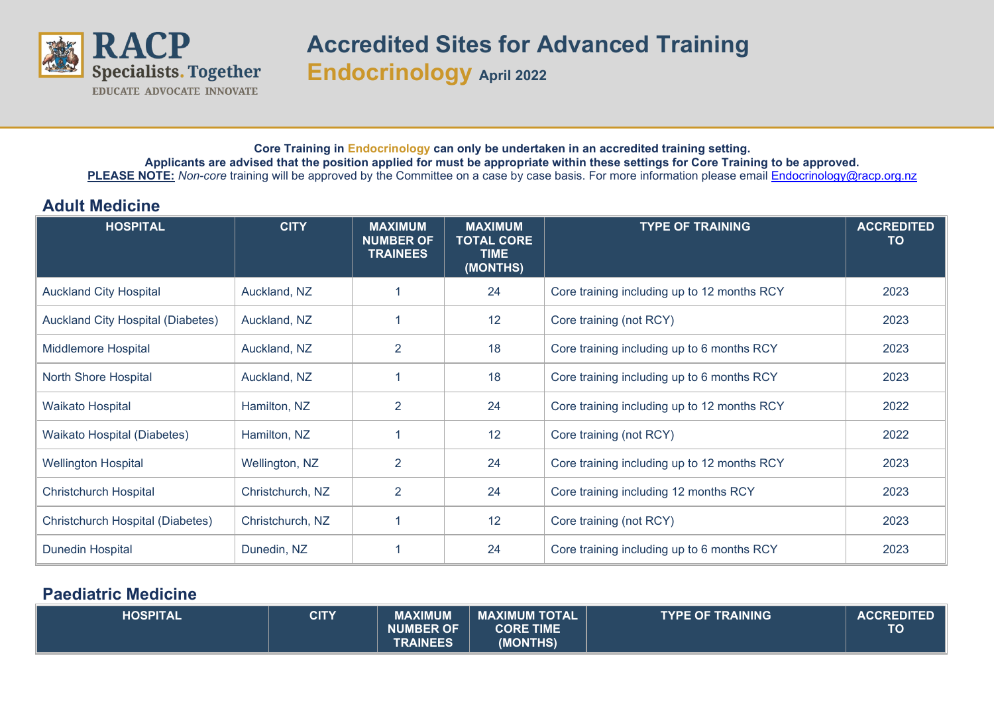

## **Core Training in Endocrinology can only be undertaken in an accredited training setting. Applicants are advised that the position applied for must be appropriate within these settings for Core Training to be approved.** PLEASE NOTE: *Non-core* training will be approved by the Committee on a case by case basis. For more information please email **Endocrinology@racp.org.nz**

## **Adult Medicine**

| <b>HOSPITAL</b>                          | <b>CITY</b>      | <b>MAXIMUM</b><br><b>NUMBER OF</b><br><b>TRAINEES</b> | <b>MAXIMUM</b><br><b>TOTAL CORE</b><br><b>TIME</b><br>(MONTHS) | <b>TYPE OF TRAINING</b>                     | <b>ACCREDITED</b><br>TO |
|------------------------------------------|------------------|-------------------------------------------------------|----------------------------------------------------------------|---------------------------------------------|-------------------------|
| <b>Auckland City Hospital</b>            | Auckland, NZ     |                                                       | 24                                                             | Core training including up to 12 months RCY | 2023                    |
| <b>Auckland City Hospital (Diabetes)</b> | Auckland, NZ     |                                                       | 12                                                             | Core training (not RCY)                     | 2023                    |
| Middlemore Hospital                      | Auckland, NZ     | $\overline{2}$                                        | 18                                                             | Core training including up to 6 months RCY  | 2023                    |
| North Shore Hospital                     | Auckland, NZ     |                                                       | 18                                                             | Core training including up to 6 months RCY  | 2023                    |
| <b>Waikato Hospital</b>                  | Hamilton, NZ     | $\overline{2}$                                        | 24                                                             | Core training including up to 12 months RCY | 2022                    |
| Waikato Hospital (Diabetes)              | Hamilton, NZ     |                                                       | 12                                                             | Core training (not RCY)                     | 2022                    |
| <b>Wellington Hospital</b>               | Wellington, NZ   | $\overline{2}$                                        | 24                                                             | Core training including up to 12 months RCY | 2023                    |
| <b>Christchurch Hospital</b>             | Christchurch, NZ | $\overline{2}$                                        | 24                                                             | Core training including 12 months RCY       | 2023                    |
| Christchurch Hospital (Diabetes)         | Christchurch, NZ |                                                       | 12                                                             | Core training (not RCY)                     | 2023                    |
| <b>Dunedin Hospital</b>                  | Dunedin, NZ      |                                                       | 24                                                             | Core training including up to 6 months RCY  | 2023                    |

## **Paediatric Medicine**

| <b>HOSPITAL</b> | <b>CITY</b> | <b>MAXIMUM</b>   | <b>MAXIMUM TOTALY</b> | <b>ITYPE OF TRAINING \</b> | <b>ACCREDITED</b> |
|-----------------|-------------|------------------|-----------------------|----------------------------|-------------------|
|                 |             | <b>NUMBER OF</b> | <b>CORE TIME</b>      |                            | TC                |
|                 |             | <b>TRAINEES</b>  | (MONTHS)              |                            |                   |